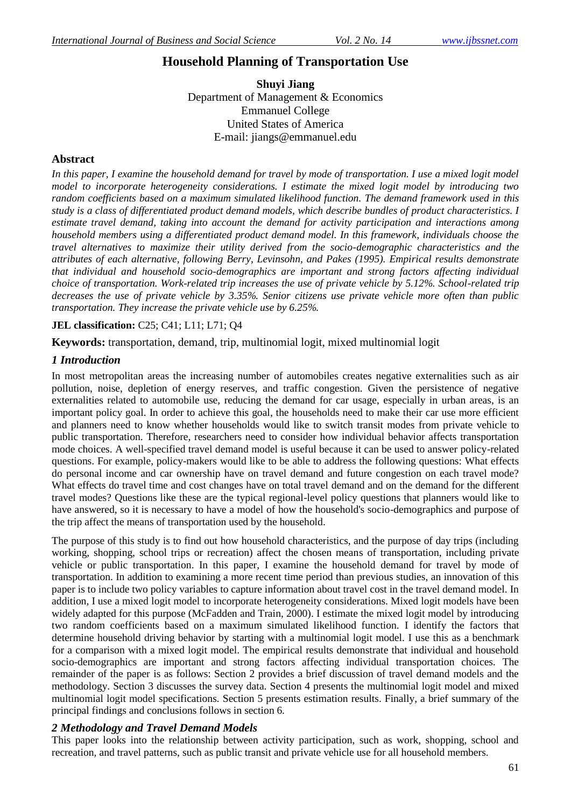# **Household Planning of Transportation Use**

**Shuyi Jiang** Department of Management & Economics Emmanuel College United States of America E-mail: jiangs@emmanuel.edu

### **Abstract**

In this paper, I examine the household demand for travel by mode of transportation. I use a mixed logit model *model to incorporate heterogeneity considerations. I estimate the mixed logit model by introducing two random coefficients based on a maximum simulated likelihood function. The demand framework used in this study is a class of differentiated product demand models, which describe bundles of product characteristics. I estimate travel demand, taking into account the demand for activity participation and interactions among household members using a differentiated product demand model. In this framework, individuals choose the travel alternatives to maximize their utility derived from the socio-demographic characteristics and the attributes of each alternative, following Berry, Levinsohn, and Pakes (1995). Empirical results demonstrate that individual and household socio-demographics are important and strong factors affecting individual choice of transportation. Work-related trip increases the use of private vehicle by 5.12%. School-related trip decreases the use of private vehicle by 3.35%. Senior citizens use private vehicle more often than public transportation. They increase the private vehicle use by 6.25%.*

### **JEL classification:** C25; C41; L11; L71; Q4

**Keywords:** transportation, demand, trip, multinomial logit, mixed multinomial logit

### *1 Introduction*

In most metropolitan areas the increasing number of automobiles creates negative externalities such as air pollution, noise, depletion of energy reserves, and traffic congestion. Given the persistence of negative externalities related to automobile use, reducing the demand for car usage, especially in urban areas, is an important policy goal. In order to achieve this goal, the households need to make their car use more efficient and planners need to know whether households would like to switch transit modes from private vehicle to public transportation. Therefore, researchers need to consider how individual behavior affects transportation mode choices. A well-specified travel demand model is useful because it can be used to answer policy-related questions. For example, policy-makers would like to be able to address the following questions: What effects do personal income and car ownership have on travel demand and future congestion on each travel mode? What effects do travel time and cost changes have on total travel demand and on the demand for the different travel modes? Questions like these are the typical regional-level policy questions that planners would like to have answered, so it is necessary to have a model of how the household's socio-demographics and purpose of the trip affect the means of transportation used by the household.

The purpose of this study is to find out how household characteristics, and the purpose of day trips (including working, shopping, school trips or recreation) affect the chosen means of transportation, including private vehicle or public transportation. In this paper, I examine the household demand for travel by mode of transportation. In addition to examining a more recent time period than previous studies, an innovation of this paper is to include two policy variables to capture information about travel cost in the travel demand model. In addition, I use a mixed logit model to incorporate heterogeneity considerations. Mixed logit models have been widely adapted for this purpose (McFadden and Train, 2000). I estimate the mixed logit model by introducing two random coefficients based on a maximum simulated likelihood function. I identify the factors that determine household driving behavior by starting with a multinomial logit model. I use this as a benchmark for a comparison with a mixed logit model. The empirical results demonstrate that individual and household socio-demographics are important and strong factors affecting individual transportation choices. The remainder of the paper is as follows: Section 2 provides a brief discussion of travel demand models and the methodology. Section 3 discusses the survey data. Section 4 presents the multinomial logit model and mixed multinomial logit model specifications. Section 5 presents estimation results. Finally, a brief summary of the principal findings and conclusions follows in section 6.

### *2 Methodology and Travel Demand Models*

This paper looks into the relationship between activity participation, such as work, shopping, school and recreation, and travel patterns, such as public transit and private vehicle use for all household members.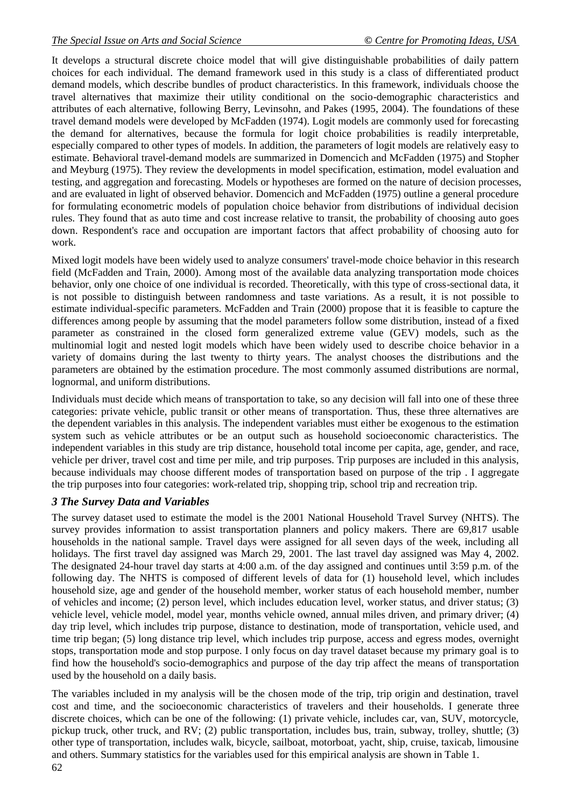It develops a structural discrete choice model that will give distinguishable probabilities of daily pattern choices for each individual. The demand framework used in this study is a class of differentiated product demand models, which describe bundles of product characteristics. In this framework, individuals choose the travel alternatives that maximize their utility conditional on the socio-demographic characteristics and attributes of each alternative, following Berry, Levinsohn, and Pakes (1995, 2004). The foundations of these travel demand models were developed by McFadden (1974). Logit models are commonly used for forecasting the demand for alternatives, because the formula for logit choice probabilities is readily interpretable, especially compared to other types of models. In addition, the parameters of logit models are relatively easy to estimate. Behavioral travel-demand models are summarized in Domencich and McFadden (1975) and Stopher and Meyburg (1975). They review the developments in model specification, estimation, model evaluation and testing, and aggregation and forecasting. Models or hypotheses are formed on the nature of decision processes, and are evaluated in light of observed behavior. Domencich and McFadden (1975) outline a general procedure for formulating econometric models of population choice behavior from distributions of individual decision rules. They found that as auto time and cost increase relative to transit, the probability of choosing auto goes down. Respondent's race and occupation are important factors that affect probability of choosing auto for work.

Mixed logit models have been widely used to analyze consumers' travel-mode choice behavior in this research field (McFadden and Train, 2000). Among most of the available data analyzing transportation mode choices behavior, only one choice of one individual is recorded. Theoretically, with this type of cross-sectional data, it is not possible to distinguish between randomness and taste variations. As a result, it is not possible to estimate individual-specific parameters. McFadden and Train (2000) propose that it is feasible to capture the differences among people by assuming that the model parameters follow some distribution, instead of a fixed parameter as constrained in the closed form generalized extreme value (GEV) models, such as the multinomial logit and nested logit models which have been widely used to describe choice behavior in a variety of domains during the last twenty to thirty years. The analyst chooses the distributions and the parameters are obtained by the estimation procedure. The most commonly assumed distributions are normal, lognormal, and uniform distributions.

Individuals must decide which means of transportation to take, so any decision will fall into one of these three categories: private vehicle, public transit or other means of transportation. Thus, these three alternatives are the dependent variables in this analysis. The independent variables must either be exogenous to the estimation system such as vehicle attributes or be an output such as household socioeconomic characteristics. The independent variables in this study are trip distance, household total income per capita, age, gender, and race, vehicle per driver, travel cost and time per mile, and trip purposes. Trip purposes are included in this analysis, because individuals may choose different modes of transportation based on purpose of the trip . I aggregate the trip purposes into four categories: work-related trip, shopping trip, school trip and recreation trip.

### *3 The Survey Data and Variables*

The survey dataset used to estimate the model is the 2001 National Household Travel Survey (NHTS). The survey provides information to assist transportation planners and policy makers. There are 69,817 usable households in the national sample. Travel days were assigned for all seven days of the week, including all holidays. The first travel day assigned was March 29, 2001. The last travel day assigned was May 4, 2002. The designated 24-hour travel day starts at 4:00 a.m. of the day assigned and continues until 3:59 p.m. of the following day. The NHTS is composed of different levels of data for (1) household level, which includes household size, age and gender of the household member, worker status of each household member, number of vehicles and income; (2) person level, which includes education level, worker status, and driver status; (3) vehicle level, vehicle model, model year, months vehicle owned, annual miles driven, and primary driver; (4) day trip level, which includes trip purpose, distance to destination, mode of transportation, vehicle used, and time trip began; (5) long distance trip level, which includes trip purpose, access and egress modes, overnight stops, transportation mode and stop purpose. I only focus on day travel dataset because my primary goal is to find how the household's socio-demographics and purpose of the day trip affect the means of transportation used by the household on a daily basis. Ì

The variables included in my analysis will be the chosen mode of the trip, trip origin and destination, travel cost and time, and the socioeconomic characteristics of travelers and their households. I generate three discrete choices, which can be one of the following: (1) private vehicle, includes car, van, SUV, motorcycle, pickup truck, other truck, and RV; (2) public transportation, includes bus, train, subway, trolley, shuttle; (3) other type of transportation, includes walk, bicycle, sailboat, motorboat, yacht, ship, cruise, taxicab, limousine and others. Summary statistics for the variables used for this empirical analysis are shown in Table 1.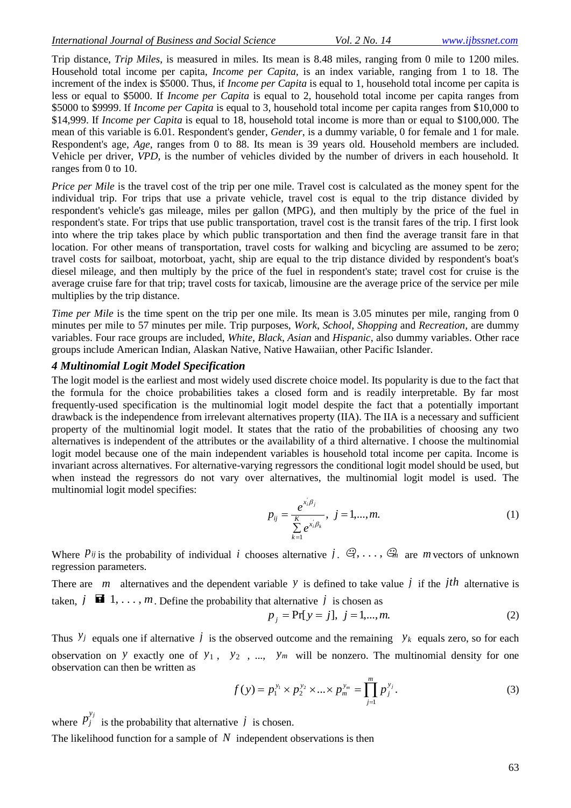Trip distance, *Trip Miles*, is measured in miles. Its mean is 8.48 miles, ranging from 0 mile to 1200 miles. Household total income per capita, *Income per Capita,* is an index variable, ranging from 1 to 18. The increment of the index is \$5000. Thus, if *Income per Capita* is equal to 1, household total income per capita is less or equal to \$5000. If *Income per Capita* is equal to 2, household total income per capita ranges from \$5000 to \$9999. If *Income per Capita* is equal to 3, household total income per capita ranges from \$10,000 to \$14,999. If *Income per Capita* is equal to 18, household total income is more than or equal to \$100,000. The mean of this variable is 6.01. Respondent's gender, *Gender*, is a dummy variable, 0 for female and 1 for male. Respondent's age, *Age*, ranges from 0 to 88. Its mean is 39 years old. Household members are included. Vehicle per driver, *VPD*, is the number of vehicles divided by the number of drivers in each household. It ranges from 0 to 10. 

*Price per Mile* is the travel cost of the trip per one mile. Travel cost is calculated as the money spent for the individual trip. For trips that use a private vehicle, travel cost is equal to the trip distance divided by respondent's vehicle's gas mileage, miles per gallon (MPG), and then multiply by the price of the fuel in respondent's state. For trips that use public transportation, travel cost is the transit fares of the trip. I first look into where the trip takes place by which public transportation and then find the average transit fare in that location. For other means of transportation, travel costs for walking and bicycling are assumed to be zero; travel costs for sailboat, motorboat, yacht, ship are equal to the trip distance divided by respondent's boat's diesel mileage, and then multiply by the price of the fuel in respondent's state; travel cost for cruise is the average cruise fare for that trip; travel costs for taxicab, limousine are the average price of the service per mile multiplies by the trip distance. 

*Time per Mile* is the time spent on the trip per one mile. Its mean is 3.05 minutes per mile, ranging from 0 minutes per mile to 57 minutes per mile. Trip purposes, *Work*, *School*, *Shopping* and *Recreation,* are dummy variables. Four race groups are included, *White*, *Black*, *Asian* and *Hispanic*, also dummy variables. Other race groups include American Indian, Alaskan Native, Native Hawaiian, other Pacific Islander.

#### *4 Multinomial Logit Model Specification*

The logit model is the earliest and most widely used discrete choice model. Its popularity is due to the fact that the formula for the choice probabilities takes a closed form and is readily interpretable. By far most frequently-used specification is the multinomial logit model despite the fact that a potentially important drawback is the independence from irrelevant alternatives property (IIA). The IIA is a necessary and sufficient property of the multinomial logit model. It states that the ratio of the probabilities of choosing any two alternatives is independent of the attributes or the availability of a third alternative. I choose the multinomial logit model because one of the main independent variables is household total income per capita. Income is invariant across alternatives. For alternative-varying regressors the conditional logit model should be used, but when instead the regressors do not vary over alternatives, the multinomial logit model is used. The multinomial logit model specifies:

$$
p_{ij} = \frac{e^{x_i/\beta_j}}{\sum_{k=1}^{K} e^{x_i/\beta_k}}, \ j = 1,...,m.
$$
 (1)

Where  $P_{ij}$  is the probability of individual *i* chooses alternative  $j$ .  $\mathcal{G}, \ldots, \mathcal{G}_n$  are *m* vectors of unknown regression parameters.

There are *m* alternatives and the dependent variable *y* is defined to take value *j* if the *j*th alternative is taken,  $j \in \mathbb{I} \{1, \ldots, m\}$ . Define the probability that alternative  $j$  is chosen as

$$
p_j = Pr[y = j], j = 1,...,m.
$$
 (2)

Thus  $y_j$  equals one if alternative *j* is the observed outcome and the remaining  $y_k$  equals zero, so for each observation on *y* exactly one of  $y_1$ ,  $y_2$ , ...,  $y_m$  will be nonzero. The multinomial density for one observation can then be written as

$$
f(y) = p_1^{y_1} \times p_2^{y_2} \times \dots \times p_m^{y_m} = \prod_{j=1}^m p_j^{y_j}.
$$
 (3)

where  $p_j^{y_j}$ is the probability that alternative  $\dot{j}$  is chosen.

The likelihood function for a sample of  $N$  independent observations is then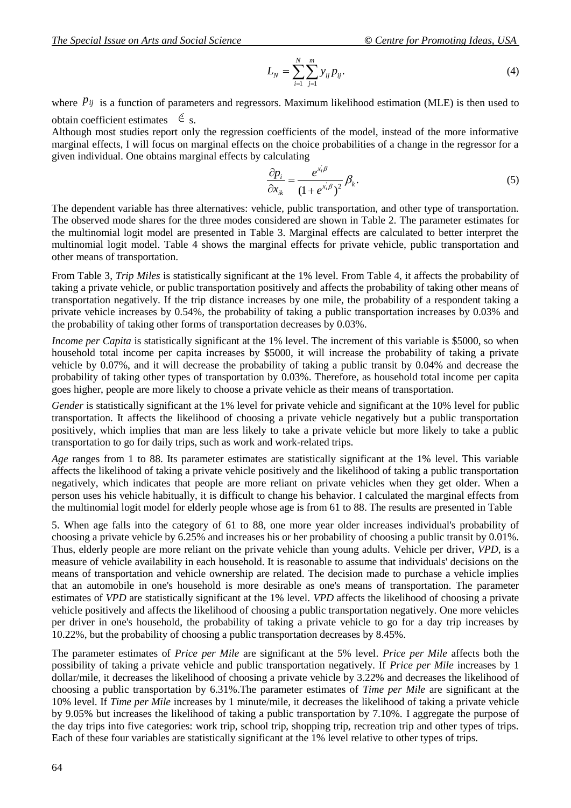$$
L_N = \sum_{i=1}^N \sum_{j=1}^m y_{ij} p_{ij}.
$$
 (4)

where  $P_{ij}$  is a function of parameters and regressors. Maximum likelihood estimation (MLE) is then used to obtain coefficient estimates  $\epsilon$  s.

Although most studies report only the regression coefficients of the model, instead of the more informative marginal effects, I will focus on marginal effects on the choice probabilities of a change in the regressor for a given individual. One obtains marginal effects by calculating

$$
\frac{\partial p_i}{\partial x_{ik}} = \frac{e^{x_i/\beta}}{(1 + e^{x_i/\beta})^2} \beta_k.
$$
\n(5)

The dependent variable has three alternatives: vehicle, public transportation, and other type of transportation. The observed mode shares for the three modes considered are shown in Table 2. The parameter estimates for the multinomial logit model are presented in Table 3. Marginal effects are calculated to better interpret the multinomial logit model. Table 4 shows the marginal effects for private vehicle, public transportation and other means of transportation.

From Table 3, *Trip Miles* is statistically significant at the 1% level. From Table 4, it affects the probability of taking a private vehicle, or public transportation positively and affects the probability of taking other means of transportation negatively. If the trip distance increases by one mile, the probability of a respondent taking a private vehicle increases by 0.54%, the probability of taking a public transportation increases by 0.03% and the probability of taking other forms of transportation decreases by 0.03%. 

*Income per Capita* is statistically significant at the 1% level. The increment of this variable is \$5000, so when household total income per capita increases by \$5000, it will increase the probability of taking a private vehicle by 0.07%, and it will decrease the probability of taking a public transit by 0.04% and decrease the probability of taking other types of transportation by 0.03%. Therefore, as household total income per capita goes higher, people are more likely to choose a private vehicle as their means of transportation. 

*Gender* is statistically significant at the 1% level for private vehicle and significant at the 10% level for public transportation. It affects the likelihood of choosing a private vehicle negatively but a public transportation positively, which implies that man are less likely to take a private vehicle but more likely to take a public transportation to go for daily trips, such as work and work-related trips. 

*Age* ranges from 1 to 88. Its parameter estimates are statistically significant at the 1% level. This variable affects the likelihood of taking a private vehicle positively and the likelihood of taking a public transportation negatively, which indicates that people are more reliant on private vehicles when they get older. When a person uses his vehicle habitually, it is difficult to change his behavior. I calculated the marginal effects from the multinomial logit model for elderly people whose age is from 61 to 88. The results are presented in Table

5. When age falls into the category of 61 to 88, one more year older increases individual's probability of choosing a private vehicle by 6.25% and increases his or her probability of choosing a public transit by 0.01%. Thus, elderly people are more reliant on the private vehicle than young adults. Vehicle per driver, *VPD*, is a measure of vehicle availability in each household. It is reasonable to assume that individuals' decisions on the means of transportation and vehicle ownership are related. The decision made to purchase a vehicle implies that an automobile in one's household is more desirable as one's means of transportation. The parameter estimates of *VPD* are statistically significant at the 1% level. *VPD* affects the likelihood of choosing a private vehicle positively and affects the likelihood of choosing a public transportation negatively. One more vehicles per driver in one's household, the probability of taking a private vehicle to go for a day trip increases by 10.22%, but the probability of choosing a public transportation decreases by 8.45%. Ĭ

The parameter estimates of *Price per Mile* are significant at the 5% level. *Price per Mile* affects both the possibility of taking a private vehicle and public transportation negatively. If *Price per Mile* increases by 1 dollar/mile, it decreases the likelihood of choosing a private vehicle by 3.22% and decreases the likelihood of choosing a public transportation by 6.31%.The parameter estimates of *Time per Mile* are significant at the 10% level. If *Time per Mile* increases by 1 minute/mile, it decreases the likelihood of taking a private vehicle by 9.05% but increases the likelihood of taking a public transportation by 7.10%. I aggregate the purpose of the day trips into five categories: work trip, school trip, shopping trip, recreation trip and other types of trips. Each of these four variables are statistically significant at the 1% level relative to other types of trips.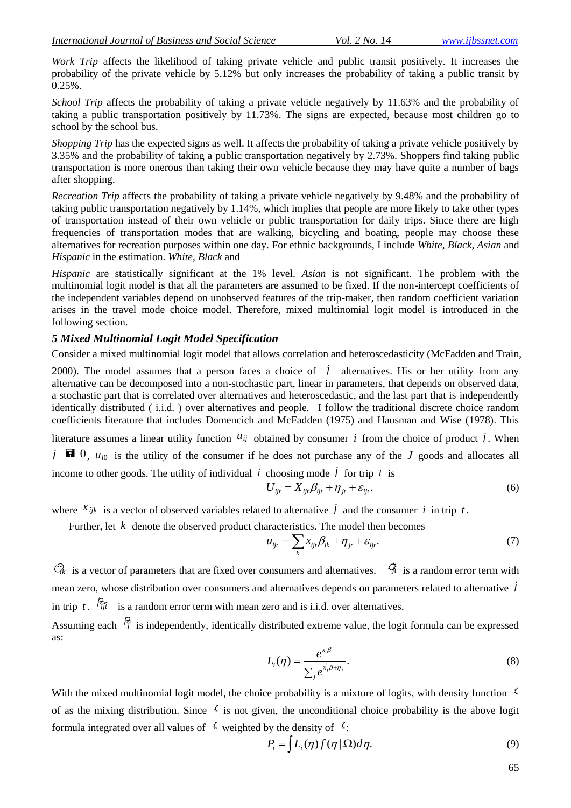*Work Trip* affects the likelihood of taking private vehicle and public transit positively. It increases the probability of the private vehicle by 5.12% but only increases the probability of taking a public transit by  $0.25\%$ .

*School Trip* affects the probability of taking a private vehicle negatively by 11.63% and the probability of taking a public transportation positively by 11.73%. The signs are expected, because most children go to school by the school bus. 

*Shopping Trip* has the expected signs as well. It affects the probability of taking a private vehicle positively by 3.35% and the probability of taking a public transportation negatively by 2.73%. Shoppers find taking public transportation is more onerous than taking their own vehicle because they may have quite a number of bags after shopping. 

*Recreation Trip* affects the probability of taking a private vehicle negatively by 9.48% and the probability of taking public transportation negatively by 1.14%, which implies that people are more likely to take other types of transportation instead of their own vehicle or public transportation for daily trips. Since there are high frequencies of transportation modes that are walking, bicycling and boating, people may choose these alternatives for recreation purposes within one day. For ethnic backgrounds, I include *White*, *Black*, *Asian* and *Hispanic* in the estimation. *White*, *Black* and

*Hispanic* are statistically significant at the 1% level. *Asian* is not significant. The problem with the multinomial logit model is that all the parameters are assumed to be fixed. If the non-intercept coefficients of the independent variables depend on unobserved features of the trip-maker, then random coefficient variation arises in the travel mode choice model. Therefore, mixed multinomial logit model is introduced in the following section.

### *5 Mixed Multinomial Logit Model Specification*

Consider a mixed multinomial logit model that allows correlation and heteroscedasticity (McFadden and Train,

2000). The model assumes that a person faces a choice of  $j$  alternatives. His or her utility from any alternative can be decomposed into a non-stochastic part, linear in parameters, that depends on observed data, a stochastic part that is correlated over alternatives and heteroscedastic, and the last part that is independently identically distributed ( i.i.d. ) over alternatives and people. I follow the traditional discrete choice random coefficients literature that includes Domencich and McFadden (1975) and Hausman and Wise (1978). This

literature assumes a linear utility function  $u_{ij}$  obtained by consumer i from the choice of product i. When  $j \nightharpoonup a$  0,  $u_{i0}$  is the utility of the consumer if he does not purchase any of the J goods and allocates all income to other goods. The utility of individual  $i$  choosing mode  $j$  for trip  $t$  is

$$
U_{ijt} = X_{ijt}\beta_{ijt} + \eta_{jt} + \varepsilon_{ijt}.
$$
\n<sup>(6)</sup>

where  $x_{ijk}$  is a vector of observed variables related to alternative *i* and the consumer *i* in trip *t*.

Further, let  $k$  denote the observed product characteristics. The model then becomes

$$
u_{ijt} = \sum_{k} x_{ijt} \beta_{ik} + \eta_{jt} + \varepsilon_{ijt}.
$$
 (7)

 $\mathcal{G}_k$  is a vector of parameters that are fixed over consumers and alternatives.  $\mathcal{G}_t$  is a random error term with mean zero, whose distribution over consumers and alternatives depends on parameters related to alternative *j* in trip t.  $\hat{f}_{\hat{y}t}$  is a random error term with mean zero and is i.i.d. over alternatives.

Assuming each  $\frac{1}{7}$  is independently, identically distributed extreme value, the logit formula can be expressed as:

$$
L_i(\eta) = \frac{e^{\dot{x_i}\beta}}{\sum_j e^{\dot{x_j}\beta + \eta_j}}.
$$
\n(8)

With the mixed multinomial logit model, the choice probability is a mixture of logits, with density function  $\frac{1}{2}$ of as the mixing distribution. Since  $\zeta$  is not given, the unconditional choice probability is the above logit formula integrated over all values of  $\overrightarrow{f}$  weighted by the density of  $\overrightarrow{f}$ :

$$
P_i = \int L_i(\eta) f(\eta | \Omega) d\eta. \tag{9}
$$

65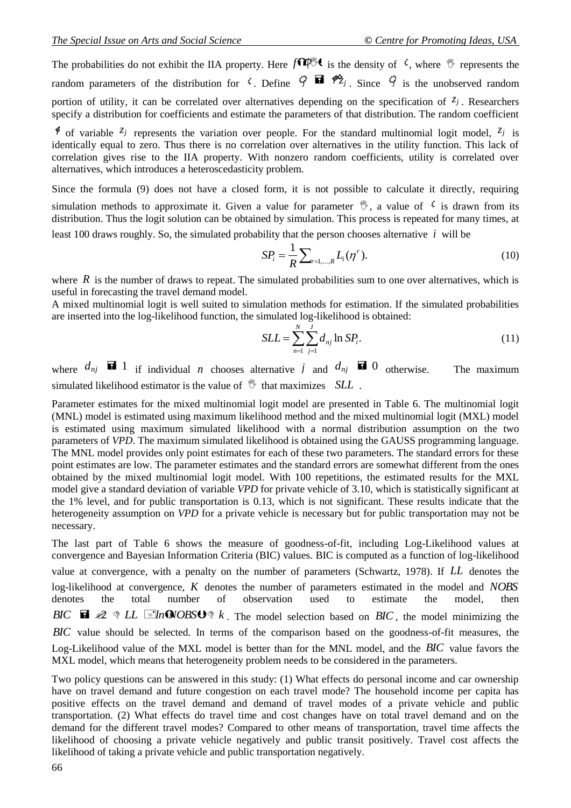The probabilities do not exhibit the IIA property. Here  $f \cap \mathbb{P}^{\mathbb{Q}}$  is the density of  $\zeta$ , where  $\mathbb{Y}$  represents the random parameters of the distribution for  $\zeta$ . Define  $\hat{\zeta}$  **a**  $\hat{\zeta}$ <sub>*j*</sub>. Since  $\hat{\zeta}$  is the unobserved random portion of utility, it can be correlated over alternatives depending on the specification of  $z_j$ . Researchers specify a distribution for coefficients and estimate the parameters of that distribution. The random coefficient

 $\sharp$  of variable  $z_j$  represents the variation over people. For the standard multinomial logit model,  $z_j$  is identically equal to zero. Thus there is no correlation over alternatives in the utility function. This lack of correlation gives rise to the IIA property. With nonzero random coefficients, utility is correlated over alternatives, which introduces a heteroscedasticity problem.

Since the formula (9) does not have a closed form, it is not possible to calculate it directly, requiring simulation methods to approximate it. Given a value for parameter  $\mathcal{V}$ , a value of  $\mathcal{V}$  is drawn from its distribution. Thus the logit solution can be obtained by simulation. This process is repeated for many times, at least 100 draws roughly. So, the simulated probability that the person chooses alternative *i* will be

$$
SP_i = \frac{1}{R} \sum_{r=1,\dots,R} L_i(\eta^r).
$$
 (10)

where  $R$  is the number of draws to repeat. The simulated probabilities sum to one over alternatives, which is useful in forecasting the travel demand model.

A mixed multinomial logit is well suited to simulation methods for estimation. If the simulated probabilities are inserted into the log-likelihood function, the simulated log-likelihood is obtained:

$$
SLL = \sum_{n=1}^{N} \sum_{j=1}^{J} d_{nj} \ln SP_i.
$$
 (11)

where  $d_{nj}$  **i** 1 if individual *n* chooses alternative *j* and  $d_{nj}$  **ii** 0 The maximum simulated likelihood estimator is the value of that maximizes *SLL* .

Parameter estimates for the mixed multinomial logit model are presented in Table 6. The multinomial logit (MNL) model is estimated using maximum likelihood method and the mixed multinomial logit (MXL) model is estimated using maximum simulated likelihood with a normal distribution assumption on the two parameters of *VPD*. The maximum simulated likelihood is obtained using the GAUSS programming language. The MNL model provides only point estimates for each of these two parameters. The standard errors for these point estimates are low. The parameter estimates and the standard errors are somewhat different from the ones obtained by the mixed multinomial logit model. With 100 repetitions, the estimated results for the MXL model give a standard deviation of variable *VPD* for private vehicle of 3.10, which is statistically significant at the 1% level, and for public transportation is 0.13, which is not significant. These results indicate that the heterogeneity assumption on *VPD* for a private vehicle is necessary but for public transportation may not be necessary.

The last part of Table 6 shows the measure of goodness-of-fit, including Log-Likelihood values at convergence and Bayesian Information Criteria (BIC) values. BIC is computed as a function of log-likelihood value at convergence, with a penalty on the number of parameters (Schwartz, 1978). If *LL* denotes the log-likelihood at convergence, *K* denotes the number of parameters estimated in the model and *NOBS* denotes the total number of observation used to estimate the model, then *BIC*  $\mathbf{E} \otimes \mathbf{E}$  **E**  $\mathbf{E}$  **l**  $\mathbf{E}$  **l**  $\mathbf{E}$  **l**  $\mathbf{E}$  **b**  $\mathbf{E}$  **k** . The model selection based on *BIC*, the model minimizing the *BIC* value should be selected. In terms of the comparison based on the goodness-of-fit measures, the Log-Likelihood value of the MXL model is better than for the MNL model, and the *BIC* value favors the MXL model, which means that heterogeneity problem needs to be considered in the parameters.

Two policy questions can be answered in this study: (1) What effects do personal income and car ownership have on travel demand and future congestion on each travel mode? The household income per capita has positive effects on the travel demand and demand of travel modes of a private vehicle and public transportation. (2) What effects do travel time and cost changes have on total travel demand and on the demand for the different travel modes? Compared to other means of transportation, travel time affects the likelihood of choosing a private vehicle negatively and public transit positively. Travel cost affects the likelihood of taking a private vehicle and public transportation negatively.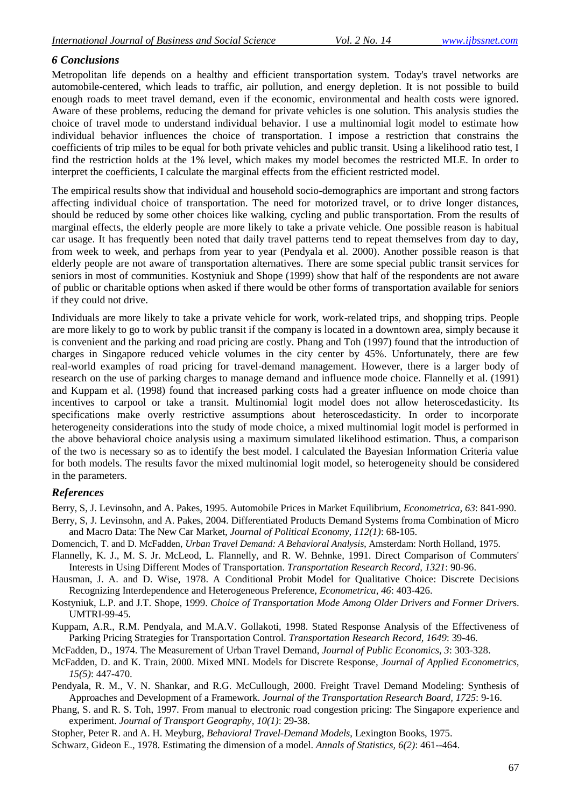## *6 Conclusions*

Metropolitan life depends on a healthy and efficient transportation system. Today's travel networks are automobile-centered, which leads to traffic, air pollution, and energy depletion. It is not possible to build enough roads to meet travel demand, even if the economic, environmental and health costs were ignored. Aware of these problems, reducing the demand for private vehicles is one solution. This analysis studies the choice of travel mode to understand individual behavior. I use a multinomial logit model to estimate how individual behavior influences the choice of transportation. I impose a restriction that constrains the coefficients of trip miles to be equal for both private vehicles and public transit. Using a likelihood ratio test, I find the restriction holds at the 1% level, which makes my model becomes the restricted MLE. In order to interpret the coefficients, I calculate the marginal effects from the efficient restricted model.

The empirical results show that individual and household socio-demographics are important and strong factors affecting individual choice of transportation. The need for motorized travel, or to drive longer distances, should be reduced by some other choices like walking, cycling and public transportation. From the results of marginal effects, the elderly people are more likely to take a private vehicle. One possible reason is habitual car usage. It has frequently been noted that daily travel patterns tend to repeat themselves from day to day, from week to week, and perhaps from year to year (Pendyala et al. 2000). Another possible reason is that elderly people are not aware of transportation alternatives. There are some special public transit services for seniors in most of communities. Kostyniuk and Shope (1999) show that half of the respondents are not aware of public or charitable options when asked if there would be other forms of transportation available for seniors if they could not drive.

Individuals are more likely to take a private vehicle for work, work-related trips, and shopping trips. People are more likely to go to work by public transit if the company is located in a downtown area, simply because it is convenient and the parking and road pricing are costly. Phang and Toh (1997) found that the introduction of charges in Singapore reduced vehicle volumes in the city center by 45%. Unfortunately, there are few real-world examples of road pricing for travel-demand management. However, there is a larger body of research on the use of parking charges to manage demand and influence mode choice. Flannelly et al. (1991) and Kuppam et al. (1998) found that increased parking costs had a greater influence on mode choice than incentives to carpool or take a transit. Multinomial logit model does not allow heteroscedasticity. Its specifications make overly restrictive assumptions about heteroscedasticity. In order to incorporate heterogeneity considerations into the study of mode choice, a mixed multinomial logit model is performed in the above behavioral choice analysis using a maximum simulated likelihood estimation. Thus, a comparison of the two is necessary so as to identify the best model. I calculated the Bayesian Information Criteria value for both models. The results favor the mixed multinomial logit model, so heterogeneity should be considered in the parameters.

### *References*

Berry, S, J. Levinsohn, and A. Pakes, 1995. Automobile Prices in Market Equilibrium, *Econometrica, 63*: 841-990.

- Berry, S, J. Levinsohn, and A. Pakes, 2004. Differentiated Products Demand Systems froma Combination of Micro and Macro Data: The New Car Market, *Journal of Political Economy, 112(1)*: 68-105.
- Domencich, T. and D. McFadden, *Urban Travel Demand: A Behavioral Analysis*, Amsterdam: North Holland, 1975.
- Flannelly, K. J., M. S. Jr. McLeod, L. Flannelly, and R. W. Behnke, 1991. Direct Comparison of Commuters' Interests in Using Different Modes of Transportation. *Transportation Research Record, 1321*: 90-96.
- Hausman, J. A. and D. Wise, 1978. A Conditional Probit Model for Qualitative Choice: Discrete Decisions Recognizing Interdependence and Heterogeneous Preference, *Econometrica, 46*: 403-426.
- Kostyniuk, L.P. and J.T. Shope, 1999. *Choice of Transportation Mode Among Older Drivers and Former Driver*s. UMTRI-99-45.
- Kuppam, A.R., R.M. Pendyala, and M.A.V. Gollakoti, 1998. Stated Response Analysis of the Effectiveness of Parking Pricing Strategies for Transportation Control. *Transportation Research Record, 1649*: 39-46.

McFadden, D., 1974. The Measurement of Urban Travel Demand, *Journal of Public Economics, 3*: 303-328.

- McFadden, D. and K. Train, 2000. Mixed MNL Models for Discrete Response, *Journal of Applied Econometrics, 15(5)*: 447-470.
- Pendyala, R. M., V. N. Shankar, and R.G. McCullough, 2000. Freight Travel Demand Modeling: Synthesis of Approaches and Development of a Framework. *Journal of the Transportation Research Board, 1725*: 9-16.
- Phang, S. and R. S. Toh, 1997. From manual to electronic road congestion pricing: The Singapore experience and experiment. *Journal of Transport Geography, 10(1)*: 29-38.

Stopher, Peter R. and A. H. Meyburg, *Behavioral Travel-Demand Models*, Lexington Books, 1975.

Schwarz, Gideon E., 1978. Estimating the dimension of a model. *Annals of Statistics, 6(2)*: 461--464.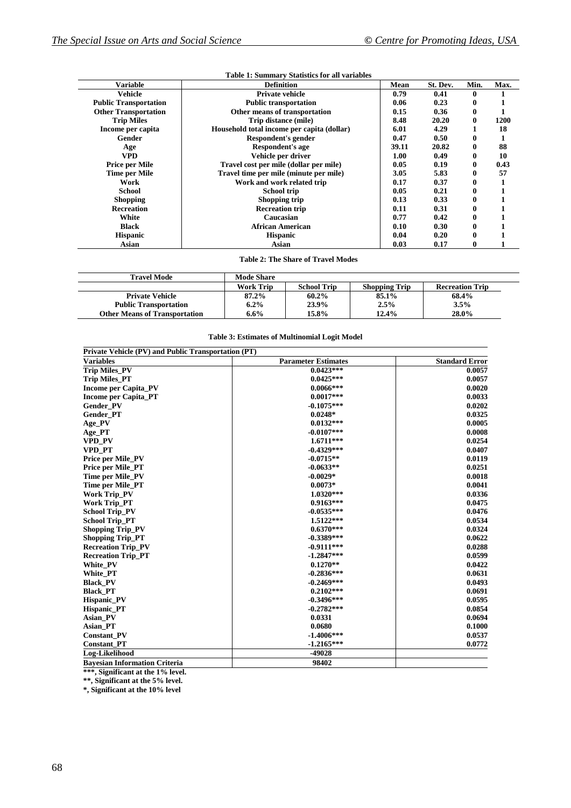| <b>Variable</b>              | <b>Definition</b>                          | Mean  | St. Dev. | Min.         | Max. |
|------------------------------|--------------------------------------------|-------|----------|--------------|------|
| Vehicle                      | <b>Private vehicle</b>                     | 0.79  | 0.41     | 0            |      |
| <b>Public Transportation</b> | <b>Public transportation</b>               | 0.06  | 0.23     | 0            |      |
| <b>Other Transportation</b>  | Other means of transportation              | 0.15  | 0.36     | $\mathbf{0}$ |      |
| <b>Trip Miles</b>            | Trip distance (mile)                       | 8.48  | 20.20    | 0            | 1200 |
| Income per capita            | Household total income per capita (dollar) | 6.01  | 4.29     |              | 18   |
| Gender                       | Respondent's gender                        | 0.47  | 0.50     | 0            |      |
| Age                          | Respondent's age                           | 39.11 | 20.82    | 0            | 88   |
| VPD                          | Vehicle per driver                         | 1.00  | 0.49     | 0            | 10   |
| <b>Price per Mile</b>        | Travel cost per mile (dollar per mile)     | 0.05  | 0.19     | 0            | 0.43 |
| Time per Mile                | Travel time per mile (minute per mile)     | 3.05  | 5.83     | 0            | 57   |
| Work                         | Work and work related trip                 | 0.17  | 0.37     | 0            |      |
| School                       | School trip                                | 0.05  | 0.21     | 0            |      |
| <b>Shopping</b>              | Shopping trip                              | 0.13  | 0.33     | 0            |      |
| <b>Recreation</b>            | <b>Recreation trip</b>                     | 0.11  | 0.31     | 0            |      |
| White                        | Caucasian                                  | 0.77  | 0.42     | 0            |      |
| <b>Black</b>                 | <b>African American</b>                    | 0.10  | 0.30     | 0            |      |
| <b>Hispanic</b>              | <b>Hispanic</b>                            | 0.04  | 0.20     | 0            |      |
| Asian                        | Asian                                      | 0.03  | 0.17     | 0            |      |

#### **Table 1: Summary Statistics for all variables**

**Table 2: The Share of Travel Modes**

| Travel Mode                          | <b>Mode Share</b> |                    |                      |                        |
|--------------------------------------|-------------------|--------------------|----------------------|------------------------|
|                                      | <b>Work Trip</b>  | <b>School Trip</b> | <b>Shopping Trip</b> | <b>Recreation Trip</b> |
| <b>Private Vehicle</b>               | 87.2%             | 60.2%              | 85.1%                | 68.4%                  |
| <b>Public Transportation</b>         | $6.2\%$           | 23.9%              | 2.5%                 | 3.5%                   |
| <b>Other Means of Transportation</b> | $6.6\%$           | 15.8%              | 12.4%                | 28.0%                  |

|  | <b>Table 3: Estimates of Multinomial Logit Model</b> |  |
|--|------------------------------------------------------|--|
|  |                                                      |  |

| Private Vehicle (PV) and Public Transportation (PT) |                            |                       |
|-----------------------------------------------------|----------------------------|-----------------------|
| <b>Variables</b>                                    | <b>Parameter Estimates</b> | <b>Standard Error</b> |
| <b>Trip Miles PV</b>                                | $0.0423***$                | 0.0057                |
| <b>Trip Miles_PT</b>                                | $0.0425***$                | 0.0057                |
| <b>Income per Capita PV</b>                         | $0.0066***$                | 0.0020                |
| <b>Income per Capita_PT</b>                         | $0.0017***$                | 0.0033                |
| <b>Gender PV</b>                                    | $-0.1075***$               | 0.0202                |
| <b>Gender PT</b>                                    | $0.0248*$                  | 0.0325                |
| Age_PV                                              | $0.0132***$                | 0.0005                |
| Age_PT                                              | $-0.0107***$               | 0.0008                |
| <b>VPD PV</b>                                       | $1.6711***$                | 0.0254                |
| <b>VPD PT</b>                                       | $-0.4329***$               | 0.0407                |
| <b>Price per Mile_PV</b>                            | $-0.0715**$                | 0.0119                |
| <b>Price per Mile_PT</b>                            | $-0.0633**$                | 0.0251                |
| Time per Mile_PV                                    | $-0.0029*$                 | 0.0018                |
| Time per Mile_PT                                    | $0.0073*$                  | 0.0041                |
| <b>Work Trip_PV</b>                                 | $1.0320***$                | 0.0336                |
| Work Trip PT                                        | $0.9163***$                | 0.0475                |
| <b>School Trip PV</b>                               | $-0.0535***$               | 0.0476                |
| <b>School Trip_PT</b>                               | $1.5122***$                | 0.0534                |
| <b>Shopping Trip_PV</b>                             | $0.6370***$                | 0.0324                |
| <b>Shopping Trip_PT</b>                             | $-0.3389***$               | 0.0622                |
| <b>Recreation Trip_PV</b>                           | $-0.9111***$               | 0.0288                |
| <b>Recreation Trip PT</b>                           | $-1.2847***$               | 0.0599                |
| White PV                                            | $0.1270**$                 | 0.0422                |
| White PT                                            | $-0.2836***$               | 0.0631                |
| <b>Black PV</b>                                     | $-0.2469***$               | 0.0493                |
| <b>Black PT</b>                                     | $0.2102***$                | 0.0691                |
| <b>Hispanic_PV</b>                                  | $-0.3496***$               | 0.0595                |
| <b>Hispanic PT</b>                                  | $-0.2782***$               | 0.0854                |
| Asian PV                                            | 0.0331                     | 0.0694                |
| <b>Asian PT</b>                                     | 0.0680                     | 0.1000                |
| <b>Constant PV</b>                                  | $-1.4006***$               | 0.0537                |
| <b>Constant PT</b>                                  | $-1.2165***$               | 0.0772                |
| Log-Likelihood                                      | -49028                     |                       |
| <b>Bavesian Information Criteria</b>                | 98402                      |                       |

**\*\*\*, Significant at the 1% level.**

**\*\*, Significant at the 5% level. \*, Significant at the 10% level**